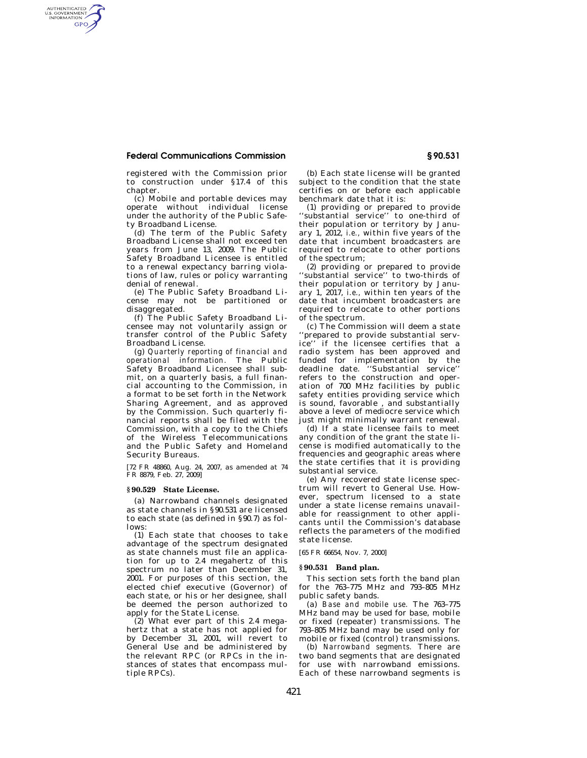## **Federal Communications Commission § 90.531**

AUTHENTICATED<br>U.S. GOVERNMENT<br>INFORMATION GPO

> registered with the Commission prior to construction under §17.4 of this chapter.

> (c) Mobile and portable devices may operate without individual license under the authority of the Public Safety Broadband License.

> (d) The term of the Public Safety Broadband License shall not exceed ten years from June 13, 2009. The Public Safety Broadband Licensee is entitled to a renewal expectancy barring violations of law, rules or policy warranting denial of renewal.

> (e) The Public Safety Broadband License may not be partitioned or disaggregated.

> (f) The Public Safety Broadband Licensee may not voluntarily assign or transfer control of the Public Safety Broadband License.

> (g) *Quarterly reporting of financial and operational information.* The Public Safety Broadband Licensee shall submit, on a quarterly basis, a full financial accounting to the Commission, in a format to be set forth in the Network Sharing Agreement, and as approved by the Commission. Such quarterly financial reports shall be filed with the Commission, with a copy to the Chiefs of the Wireless Telecommunications and the Public Safety and Homeland Security Bureaus.

[72 FR 48860, Aug. 24, 2007, as amended at 74 FR 8879, Feb. 27, 2009]

## **§ 90.529 State License.**

(a) Narrowband channels designated as state channels in §90.531 are licensed to each state (as defined in §90.7) as follows:

(1) Each state that chooses to take advantage of the spectrum designated as state channels must file an application for up to 2.4 megahertz of this spectrum no later than December 31, 2001. For purposes of this section, the elected chief executive (Governor) of each state, or his or her designee, shall be deemed the person authorized to apply for the State License.

 $(2)$  What ever part of this 2.4 megahertz that a state has not applied for by December 31, 2001, will revert to General Use and be administered by the relevant RPC (or RPCs in the instances of states that encompass multiple RPCs).

(b) Each state license will be granted subject to the condition that the state certifies on or before each applicable benchmark date that it is:

(1) providing or prepared to provide ''substantial service'' to one-third of their population or territory by January 1, 2012, *i.e.,* within five years of the date that incumbent broadcasters are required to relocate to other portions of the spectrum;

(2) providing or prepared to provide ''substantial service'' to two-thirds of their population or territory by January 1, 2017, *i.e.,* within ten years of the date that incumbent broadcasters are required to relocate to other portions of the spectrum.

(c) The Commission will deem a state 'prepared to provide substantial service'' if the licensee certifies that a radio system has been approved and funded for implementation by the deadline date. ''Substantial service'' refers to the construction and operation of 700 MHz facilities by public safety entities providing service which is sound, favorable , and substantially above a level of mediocre service which just might minimally warrant renewal.

(d) If a state licensee fails to meet any condition of the grant the state license is modified automatically to the frequencies and geographic areas where the state certifies that it is providing substantial service.

(e) Any recovered state license spectrum will revert to General Use. However, spectrum licensed to a state under a state license remains unavailable for reassignment to other applicants until the Commission's database reflects the parameters of the modified state license.

[65 FR 66654, Nov. 7, 2000]

## **§ 90.531 Band plan.**

This section sets forth the band plan for the 763–775 MHz and 793–805 MHz public safety bands.

(a) *Base and mobile use.* The 763–775 MHz band may be used for base, mobile or fixed (repeater) transmissions. The 793–805 MHz band may be used only for mobile or fixed (control) transmissions.

(b) *Narrowband segments.* There are two band segments that are designated for use with narrowband emissions. Each of these narrowband segments is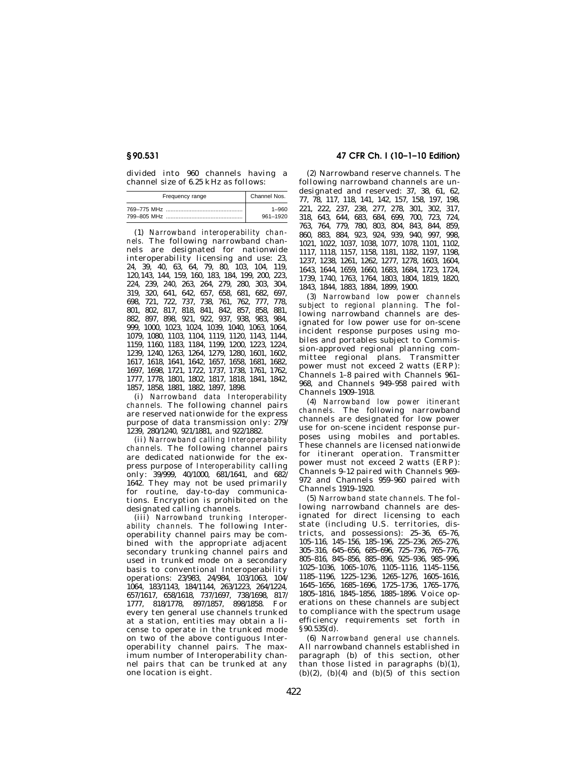divided into 960 channels having a channel size of 6.25 kHz as follows:

| Frequency range | Channel Nos. |
|-----------------|--------------|
|                 | $1 - 960$    |
|                 | 961-1920     |

(1) *Narrowband interoperability channels.* The following narrowband channels are designated for nationwide interoperability licensing and use: 23, 24, 39, 40, 63, 64, 79, 80, 103, 104, 119, 120,143, 144, 159, 160, 183, 184, 199, 200, 223, 224, 239, 240, 263, 264, 279, 280, 303, 304, 319, 320, 641, 642, 657, 658, 681, 682, 697, 698, 721, 722, 737, 738, 761, 762, 777, 778, 801, 802, 817, 818, 841, 842, 857, 858, 881, 882, 897, 898, 921, 922, 937, 938, 983, 984, 999, 1000, 1023, 1024, 1039, 1040, 1063, 1064, 1079, 1080, 1103, 1104, 1119, 1120, 1143, 1144, 1159, 1160, 1183, 1184, 1199, 1200, 1223, 1224, 1239, 1240, 1263, 1264, 1279, 1280, 1601, 1602, 1617, 1618, 1641, 1642, 1657, 1658, 1681, 1682, 1697, 1698, 1721, 1722, 1737, 1738, 1761, 1762, 1777, 1778, 1801, 1802, 1817, 1818, 1841, 1842, 1857, 1858, 1881, 1882, 1897, 1898.

(i) *Narrowband data Interoperability channels.* The following channel pairs are reserved nationwide for the express purpose of data transmission only: 279/ 1239, 280/1240, 921/1881, and 922/1882.

(ii) *Narrowband calling Interoperability channels.* The following channel pairs are dedicated nationwide for the express purpose of *Interoperability* calling only: 39/999, 40/1000, 681/1641, and 682/ 1642. They may not be used primarily for routine, day-to-day communications. Encryption is prohibited on the designated calling channels.

(iii) *Narrowband trunking Interoperability channels.* The following Interoperability channel pairs may be combined with the appropriate adjacent secondary trunking channel pairs and used in trunked mode on a secondary basis to conventional Interoperability operations: 23/983, 24/984, 103/1063, 104/ 1064, 183/1143, 184/1144, 263/1223, 264/1224, 657/1617, 658/1618, 737/1697, 738/1698, 817/ 1777, 818/1778, 897/1857, 898/1858. For every ten general use channels trunked at a station, entities may obtain a license to operate in the trunked mode on two of the above contiguous Interoperability channel pairs. The maximum number of Interoperability channel pairs that can be trunked at any one location is eight.

# **§ 90.531 47 CFR Ch. I (10–1–10 Edition)**

(2) Narrowband reserve channels. The following narrowband channels are undesignated and reserved: 37, 38, 61, 62, 77, 78, 117, 118, 141, 142, 157, 158, 197, 198, 221, 222, 237, 238, 277, 278, 301, 302, 317, 318, 643, 644, 683, 684, 699, 700, 723, 724, 763, 764, 779, 780, 803, 804, 843, 844, 859, 860, 883, 884, 923, 924, 939, 940, 997, 998, 1021, 1022, 1037, 1038, 1077, 1078, 1101, 1102, 1117, 1118, 1157, 1158, 1181, 1182, 1197, 1198, 1237, 1238, 1261, 1262, 1277, 1278, 1603, 1604, 1643, 1644, 1659, 1660, 1683, 1684, 1723, 1724, 1739, 1740, 1763, 1764, 1803, 1804, 1819, 1820, 1843, 1844, 1883, 1884, 1899, 1900.

(3) *Narrowband low power channels subject to regional planning.* The following narrowband channels are designated for low power use for on-scene incident response purposes using mobiles and portables subject to Commission-approved regional planning committee regional plans. Transmitter power must not exceed 2 watts (ERP): Channels 1–8 paired with Channels 961– 968, and Channels 949–958 paired with Channels 1909–1918.

(4) *Narrowband low power itinerant channels.* The following narrowband channels are designated for low power use for on-scene incident response purposes using mobiles and portables. These channels are licensed nationwide for itinerant operation. Transmitter power must not exceed 2 watts (ERP): Channels 9–12 paired with Channels 969– 972 and Channels 959–960 paired with Channels 1919–1920.

(5) *Narrowband state channels.* The following narrowband channels are designated for direct licensing to each state (including U.S. territories, districts, and possessions): 25–36, 65–76, 105–116, 145–156, 185–196, 225–236, 265–276, 305–316, 645–656, 685–696, 725–736, 765–776, 805–816, 845–856, 885–896, 925–936, 985–996, 1025–1036, 1065–1076, 1105–1116, 1145–1156, 1185–1196, 1225–1236, 1265–1276, 1605–1616, 1645–1656, 1685–1696, 1725–1736, 1765–1776, 1805–1816, 1845–1856, 1885–1896. Voice operations on these channels are subject to compliance with the spectrum usage efficiency requirements set forth in §90.535(d).

(6) *Narrowband general use channels.*  All narrowband channels established in paragraph (b) of this section, other than those listed in paragraphs (b)(1),  $(b)(2)$ ,  $(b)(4)$  and  $(b)(5)$  of this section